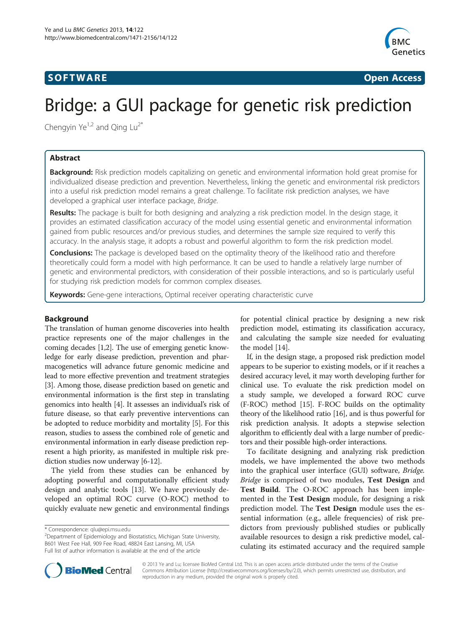## **SOFTWARE SOFTWARE** *CONSERVERSE EXECUTIVE EXECUTIVE EXECUTIVE EXECUTIVE EXECUTIVE EXECUTIVE EXECUTIVE EXECUTIVE EXECUTIVE EXECUTIVE EXECUTIVE EXECUTIVE EXECUTIVE EXECUTIVE EXECUTIVE EXECUTIVE EXECUTIVE EXECUTIVE EXECUT*



# Bridge: a GUI package for genetic risk prediction

Chengyin  $Ye^{1,2}$  and Qing Lu<sup>2\*</sup>

## Abstract

Background: Risk prediction models capitalizing on genetic and environmental information hold great promise for individualized disease prediction and prevention. Nevertheless, linking the genetic and environmental risk predictors into a useful risk prediction model remains a great challenge. To facilitate risk prediction analyses, we have developed a graphical user interface package, Bridge.

Results: The package is built for both designing and analyzing a risk prediction model. In the design stage, it provides an estimated classification accuracy of the model using essential genetic and environmental information gained from public resources and/or previous studies, and determines the sample size required to verify this accuracy. In the analysis stage, it adopts a robust and powerful algorithm to form the risk prediction model.

**Conclusions:** The package is developed based on the optimality theory of the likelihood ratio and therefore theoretically could form a model with high performance. It can be used to handle a relatively large number of genetic and environmental predictors, with consideration of their possible interactions, and so is particularly useful for studying risk prediction models for common complex diseases.

Keywords: Gene-gene interactions, Optimal receiver operating characteristic curve

## Background

The translation of human genome discoveries into health practice represents one of the major challenges in the coming decades [\[1,2\]](#page-4-0). The use of emerging genetic knowledge for early disease prediction, prevention and pharmacogenetics will advance future genomic medicine and lead to more effective prevention and treatment strategies [[3\]](#page-4-0). Among those, disease prediction based on genetic and environmental information is the first step in translating genomics into health [[4](#page-4-0)]. It assesses an individual's risk of future disease, so that early preventive interventions can be adopted to reduce morbidity and mortality [[5](#page-4-0)]. For this reason, studies to assess the combined role of genetic and environmental information in early disease prediction represent a high priority, as manifested in multiple risk prediction studies now underway [[6-12\]](#page-4-0).

The yield from these studies can be enhanced by adopting powerful and computationally efficient study design and analytic tools [[13\]](#page-4-0). We have previously developed an optimal ROC curve (O-ROC) method to quickly evaluate new genetic and environmental findings

<sup>2</sup>Department of Epidemiology and Biostatistics, Michigan State University, B601 West Fee Hall, 909 Fee Road, 48824 East Lansing, MI, USA Full list of author information is available at the end of the article

for potential clinical practice by designing a new risk prediction model, estimating its classification accuracy, and calculating the sample size needed for evaluating the model [\[14\]](#page-4-0).

If, in the design stage, a proposed risk prediction model appears to be superior to existing models, or if it reaches a desired accuracy level, it may worth developing further for clinical use. To evaluate the risk prediction model on a study sample, we developed a forward ROC curve (F-ROC) method [\[15\]](#page-5-0). F-ROC builds on the optimality theory of the likelihood ratio [\[16\]](#page-5-0), and is thus powerful for risk prediction analysis. It adopts a stepwise selection algorithm to efficiently deal with a large number of predictors and their possible high-order interactions.

To facilitate designing and analyzing risk prediction models, we have implemented the above two methods into the graphical user interface (GUI) software, Bridge. Bridge is comprised of two modules, Test Design and Test Build. The O-ROC approach has been implemented in the Test Design module, for designing a risk prediction model. The Test Design module uses the essential information (e.g., allele frequencies) of risk predictors from previously published studies or publically available resources to design a risk predictive model, calculating its estimated accuracy and the required sample



© 2013 Ye and Lu; licensee BioMed Central Ltd. This is an open access article distributed under the terms of the Creative Commons Attribution License [\(http://creativecommons.org/licenses/by/2.0\)](http://creativecommons.org/licenses/by/2.0), which permits unrestricted use, distribution, and reproduction in any medium, provided the original work is properly cited.

<sup>\*</sup> Correspondence: [qlu@epi.msu.edu](mailto:qlu@epi.msu.edu) <sup>2</sup>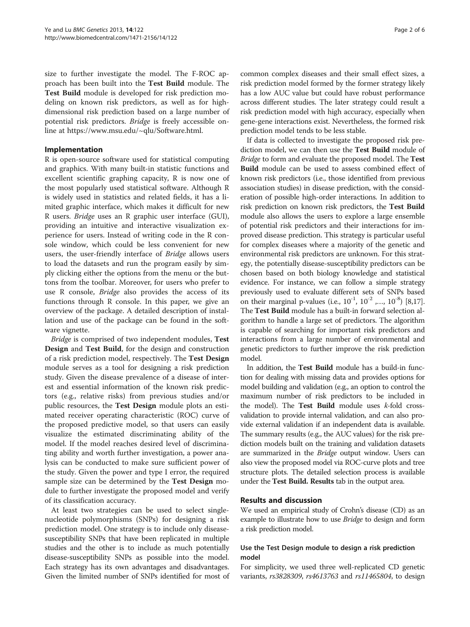size to further investigate the model. The F-ROC approach has been built into the Test Build module. The Test Build module is developed for risk prediction modeling on known risk predictors, as well as for highdimensional risk prediction based on a large number of potential risk predictors. Bridge is freely accessible online at<https://www.msu.edu/~qlu/Software.html>.

## Implementation

R is open-source software used for statistical computing and graphics. With many built-in statistic functions and excellent scientific graphing capacity, R is now one of the most popularly used statistical software. Although R is widely used in statistics and related fields, it has a limited graphic interface, which makes it difficult for new R users. Bridge uses an R graphic user interface (GUI), providing an intuitive and interactive visualization experience for users. Instead of writing code in the R console window, which could be less convenient for new users, the user-friendly interface of Bridge allows users to load the datasets and run the program easily by simply clicking either the options from the menu or the buttons from the toolbar. Moreover, for users who prefer to use R console, Bridge also provides the access of its functions through R console. In this paper, we give an overview of the package. A detailed description of installation and use of the package can be found in the software vignette.

Bridge is comprised of two independent modules, Test Design and Test Build, for the design and construction of a risk prediction model, respectively. The Test Design module serves as a tool for designing a risk prediction study. Given the disease prevalence of a disease of interest and essential information of the known risk predictors (e.g., relative risks) from previous studies and/or public resources, the Test Design module plots an estimated receiver operating characteristic (ROC) curve of the proposed predictive model, so that users can easily visualize the estimated discriminating ability of the model. If the model reaches desired level of discriminating ability and worth further investigation, a power analysis can be conducted to make sure sufficient power of the study. Given the power and type I error, the required sample size can be determined by the Test Design module to further investigate the proposed model and verify of its classification accuracy.

At least two strategies can be used to select singlenucleotide polymorphisms (SNPs) for designing a risk prediction model. One strategy is to include only diseasesusceptibility SNPs that have been replicated in multiple studies and the other is to include as much potentially disease-susceptibility SNPs as possible into the model. Each strategy has its own advantages and disadvantages. Given the limited number of SNPs identified for most of

common complex diseases and their small effect sizes, a risk prediction model formed by the former strategy likely has a low AUC value but could have robust performance across different studies. The later strategy could result a risk prediction model with high accuracy, especially when gene-gene interactions exist. Nevertheless, the formed risk prediction model tends to be less stable.

If data is collected to investigate the proposed risk prediction model, we can then use the Test Build module of Bridge to form and evaluate the proposed model. The Test Build module can be used to assess combined effect of known risk predictors (i.e., those identified from previous association studies) in disease prediction, with the consideration of possible high-order interactions. In addition to risk prediction on known risk predictors, the Test Build module also allows the users to explore a large ensemble of potential risk predictors and their interactions for improved disease prediction. This strategy is particular useful for complex diseases where a majority of the genetic and environmental risk predictors are unknown. For this strategy, the potentially disease-susceptibility predictors can be chosen based on both biology knowledge and statistical evidence. For instance, we can follow a simple strategy previously used to evaluate different sets of SNPs based on their marginal p-values (i.e.,  $10^{-1}$ ,  $10^{-2}$  ,...,  $10^{-8}$ ) [[8,](#page-4-0)[17](#page-5-0)]. The Test Build module has a built-in forward selection algorithm to handle a large set of predictors. The algorithm is capable of searching for important risk predictors and interactions from a large number of environmental and genetic predictors to further improve the risk prediction model.

In addition, the Test Build module has a build-in function for dealing with missing data and provides options for model building and validation (e.g., an option to control the maximum number of risk predictors to be included in the model). The Test Build module uses  $k$ -fold crossvalidation to provide internal validation, and can also provide external validation if an independent data is available. The summary results (e.g., the AUC values) for the risk prediction models built on the training and validation datasets are summarized in the *Bridge* output window. Users can also view the proposed model via ROC-curve plots and tree structure plots. The detailed selection process is available under the Test Build. Results tab in the output area.

#### Results and discussion

We used an empirical study of Crohn's disease (CD) as an example to illustrate how to use *Bridge* to design and form a risk prediction model.

### Use the Test Design module to design a risk prediction model

For simplicity, we used three well-replicated CD genetic variants, rs3828309, rs4613763 and rs11465804, to design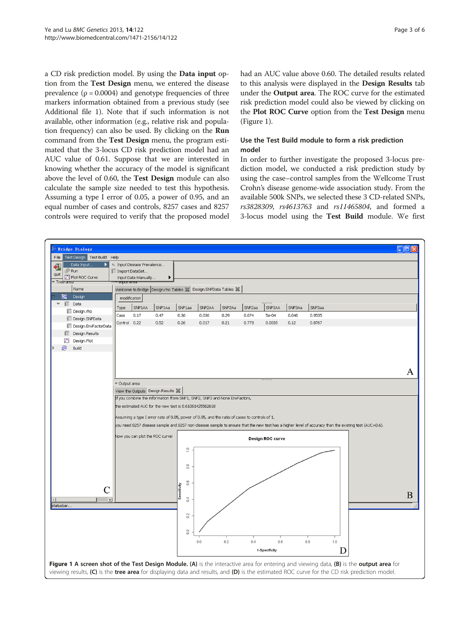a CD risk prediction model. By using the Data input option from the Test Design menu, we entered the disease prevalence ( $\rho = 0.0004$ ) and genotype frequencies of three markers information obtained from a previous study (see Additional file [1](#page-4-0)). Note that if such information is not available, other information (e.g., relative risk and population frequency) can also be used. By clicking on the Run command from the Test Design menu, the program estimated that the 3-locus CD risk prediction model had an AUC value of 0.61. Suppose that we are interested in knowing whether the accuracy of the model is significant above the level of 0.60, the Test Design module can also calculate the sample size needed to test this hypothesis. Assuming a type I error of 0.05, a power of 0.95, and an equal number of cases and controls, 8257 cases and 8257 controls were required to verify that the proposed model had an AUC value above 0.60. The detailed results related to this analysis were displayed in the Design Results tab under the Output area. The ROC curve for the estimated risk prediction model could also be viewed by clicking on the Plot ROC Curve option from the Test Design menu (Figure 1).

## Use the Test Build module to form a risk prediction model

In order to further investigate the proposed 3-locus prediction model, we conducted a risk prediction study by using the case–control samples from the Wellcome Trust Crohn's disease genome-wide association study. From the available 500k SNPs, we selected these 3 CD-related SNPs, rs3828309, rs4613763 and rs11465804, and formed a 3-locus model using the Test Build module. We first

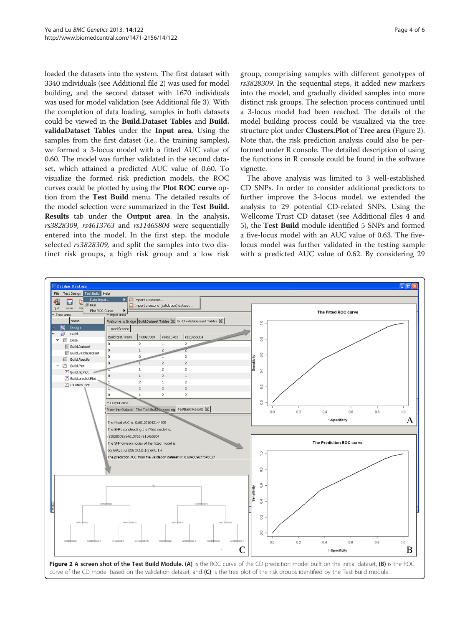loaded the datasets into the system. The first dataset with 3340 individuals (see Additional file [2](#page-4-0)) was used for model building, and the second dataset with 1670 individuals was used for model validation (see Additional file [3](#page-4-0)). With the completion of data loading, samples in both datasets could be viewed in the Build.Dataset Tables and Build. validaDataset Tables under the Input area. Using the samples from the first dataset (i.e., the training samples), we formed a 3-locus model with a fitted AUC value of 0.60. The model was further validated in the second dataset, which attained a predicted AUC value of 0.60. To visualize the formed risk prediction models, the ROC curves could be plotted by using the Plot ROC curve option from the Test Build menu. The detailed results of the model selection were summarized in the Test Build. Results tab under the Output area. In the analysis, rs3828309, rs4613763 and rs11465804 were sequentially entered into the model. In the first step, the module selected rs3828309, and split the samples into two distinct risk groups, a high risk group and a low risk

group, comprising samples with different genotypes of rs3828309. In the sequential steps, it added new markers into the model, and gradually divided samples into more distinct risk groups. The selection process continued until a 3-locus model had been reached. The details of the model building process could be visualized via the tree structure plot under **Clusters.Plot** of **Tree area** (Figure 2). Note that, the risk prediction analysis could also be performed under R console. The detailed description of using the functions in R console could be found in the software vignette.

The above analysis was limited to 3 well-established CD SNPs. In order to consider additional predictors to further improve the 3-locus model, we extended the analysis to 29 potential CD-related SNPs. Using the Wellcome Trust CD dataset (see Additional files [4](#page-4-0) and [5\)](#page-4-0), the Test Build module identified 5 SNPs and formed a five-locus model with an AUC value of 0.63. The fivelocus model was further validated in the testing sample with a predicted AUC value of 0.62. By considering 29

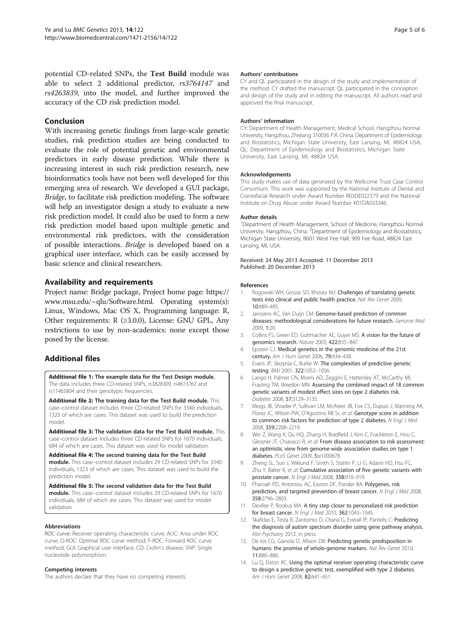<span id="page-4-0"></span>potential CD-related SNPs, the Test Build module was able to select 2 additional predictor, rs3764147 and rs4263839, into the model, and further improved the accuracy of the CD risk prediction model.

### Conclusion

With increasing genetic findings from large-scale genetic studies, risk prediction studies are being conducted to evaluate the role of potential genetic and environmental predictors in early disease prediction. While there is increasing interest in such risk prediction research, new bioinformatics tools have not been well developed for this emerging area of research. We developed a GUI package, Bridge, to facilitate risk prediction modeling. The software will help an investigator design a study to evaluate a new risk prediction model. It could also be used to form a new risk prediction model based upon multiple genetic and environmental risk predictors, with the consideration of possible interactions. Bridge is developed based on a graphical user interface, which can be easily accessed by basic science and clinical researchers.

## Availability and requirements

Project name: Bridge package, Project home page: [https://](https://www.msu.edu/~qlu/Software.html) [www.msu.edu/~qlu/Software.html](https://www.msu.edu/~qlu/Software.html). Operating system(s): Linux, Windows, Mac OS X, Programming language: R, Other requirements: R (≥3.0.0), License: GNU GPL, Any restrictions to use by non-academics: none except those posed by the license.

## Additional files

[Additional file 1:](http://www.biomedcentral.com/content/supplementary/1471-2156-14-122-S1.txt) The example data for the Test Design module. The data includes three CD-related SNPs, rs3828309, rs4613763 and rs11465804 and their genotypic frequencies.

[Additional file 2:](http://www.biomedcentral.com/content/supplementary/1471-2156-14-122-S2.txt) The training data for the Test Build module. This case–control dataset includes three CD-related SNPs for 3340 individuals, 1323 of which are cases. This dataset was used to build the prediction model.

[Additional file 3:](http://www.biomedcentral.com/content/supplementary/1471-2156-14-122-S3.txt) The validation data for the Test Build module. This case–control dataset includes three CD-related SNPs for 1670 individuals, 684 of which are cases. This dataset was used for model validation.

[Additional file 4:](http://www.biomedcentral.com/content/supplementary/1471-2156-14-122-S4.txt) The second training data for the Test Build module. This case–control dataset includes 29 CD-related SNPs for 3340 individuals, 1323 of which are cases. This dataset was used to build the prediction model.

[Additional file 5:](http://www.biomedcentral.com/content/supplementary/1471-2156-14-122-S5.txt) The second validation data for the Test Build module. This case–control dataset includes 29 CD-related SNPs for 1670 individuals, 684 of which are cases. This dataset was used for model validation.

#### Abbreviations

ROC curve: Receiver operating characteristic curve; AUC: Area under ROC curve; O-ROC: Optimal ROC curve method; F-ROC: Forward ROC curve method; GUI: Graphical user interface; CD: Crohn's disease; SNP: Single nucleotide polymorphism.

#### Competing interests

The authors declare that they have no competing interests.

#### Authors' contributions

CY and QL participated in the design of the study and implementation of the method. CY drafted the manuscript. QL participated in the conception and design of the study and in editing the manuscript. All authors read and approved the final manuscript.

#### Authors' information

CY: Department of Health Management, Medical School, Hangzhou Normal University, Hangzhou, Zhejiang 310036 P.R. China. Department of Epidemiology and Biostatistics, Michigan State University, East Lansing, MI, 48824 USA, QL: Department of Epidemiology and Biostatistics, Michigan State University, East Lansing, MI, 48824 USA.

#### Acknowledgements

This study makes use of data generated by the Wellcome Trust Case Control Consortium. This work was supported by the National Institute of Dental and Craniofacial Research under Award Number R03DE022379 and the National Institute on Drug Abuse under Award Number K01DA033346.

#### Author details

<sup>1</sup>Department of Health Management, School of Medicine, Hangzhou Normal University, Hangzhou, China. <sup>2</sup> Department of Epidemiology and Biostatistics, Michigan State University, B601 West Fee Hall, 909 Fee Road, 48824 East Lansing, MI, USA.

Received: 24 May 2013 Accepted: 11 December 2013 Published: 20 December 2013

#### References

- 1. Rogowski WH, Grosse SD, Khoury MJ: Challenges of translating genetic tests into clinical and public health practice. Nat Rev Genet 2009, 10:489–495.
- 2. Janssens AC, Van Duijn CM: Genome-based prediction of common diseases: methodological considerations for future research. Genome Med 2009, 1:20.
- 3. Collins FS, Green ED, Guttmacher AE, Guyer MS: A vision for the future of genomics research. Nature 2003, 422:835–847.
- 4. Epstein CJ: Medical genetics in the genomic medicine of the 21st century. Am J Hum Genet 2006, 79:434–438.
- 5. Evans JP, Skrzynia C, Burke W: The complexities of predictive genetic testing. BMJ 2001, 322:1052–1056.
- 6. Lango H, Palmer CN, Morris AD, Zeggini E, Hattersley AT, McCarthy MI, Frayling TM, Weedon MN: Assessing the combined impact of 18 common genetic variants of modest effect sizes on type 2 diabetes risk. Diabetes 2008, 57:3129–3135.
- 7. Meigs JB, Shrader P, Sullivan LM, McAteer JB, Fox CS, Dupuis J, Manning AK, Florez JC, Wilson PW, D'Agostino RB Sr, et al: Genotype score in addition to common risk factors for prediction of type 2 diabetes. N Engl J Med 2008, 359:2208–2219.
- 8. Wei Z, Wang K, Qu HQ, Zhang H, Bradfield J, Kim C, Frackleton E, Hou C, Glessner JT, Chiavacci R, et al: From disease association to risk assessment: an optimistic view from genome-wide association studies on type 1 diabetes. PLoS Genet 2009, 5:e1000678.
- 9. Zheng SL, Sun J, Wiklund F, Smith S, Stattin P, Li G, Adami HO, Hsu FC, Zhu Y, Balter K, et al: Cumulative association of five genetic variants with prostate cancer. N Engl J Med 2008, 358:910–919.
- 10. Pharoah PD, Antoniou AC, Easton DF, Ponder BA: Polygenes, risk prediction, and targeted prevention of breast cancer. N Engl J Med 2008, 358:2796–2803.
- 11. Devilee P, Rookus MA: A tiny step closer to personalized risk prediction for breast cancer. N Engl J Med 2010, 362:1043–1045.
- 12. Skafidas E, Testa R, Zantomio D, Chana G, Everall IP, Pantelis C: Predicting the diagnosis of autism spectrum disorder using gene pathway analysis. Mol Psychiatry 2012. in press.
- 13. De los CG, Gianola D, Allison DB: Predicting genetic predisposition in humans: the promise of whole-genome markers. Nat Rev Genet 2010, 11:880–886.
- 14. Lu Q, Elston RC: Using the optimal receiver operating characteristic curve to design a predictive genetic test, exemplified with type 2 diabetes. Am J Hum Genet 2008, 82:641–651.